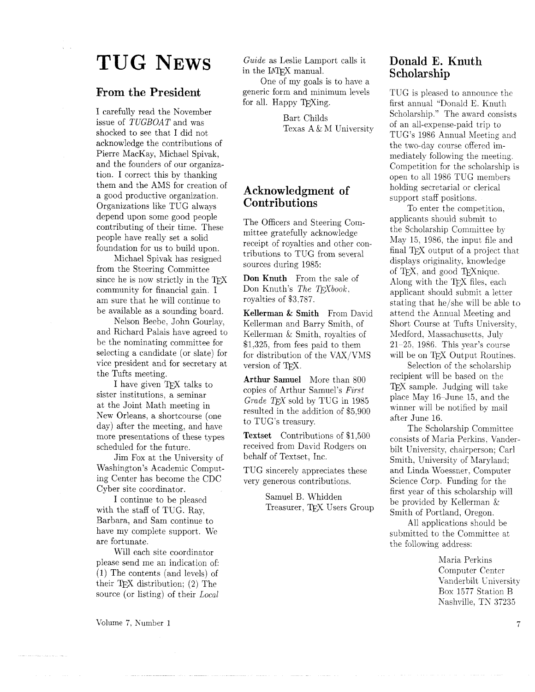# **TUG NEWS**

### **]From the President**

I carefully read the November issue of TUGBOAT and was shocked to see that I did not acknowledge the contributions of Pierre MacKay, Michael Spivak, and the founders of our organization. I correct this by thanking them and the AMS for creation of a good productive organization. Organizations like TUG always depend upon some good people contributing of their time. These people have really set a solid foundation for us to build upon.

Michael Spivak has resigned from the Steering Committee since he is now strictly in the TFX community for financial gain. I am sure that he will continue to be available as a sounding board.

Nelson Beebe, John Gourlay, and Richard Palais have agreed to be the nominating committee for selecting a candidate (or slate) for vice president and for secretary at the Tufts meeting.

I have given TFX talks to sister institutions, a seminar at the Joint Math meeting in New Orleans, a shortcourse (one day) after the meeting, and have more presentations of these types scheduled for the future.

Jim Fox at the University of Washington's Academic Computing Center has become the CDC Cyber site coordinator.

I continue to be pleased with the staff of TUG. Ray, Barbara, and Sam continue to have my complete support. We are fortunate.

Will each site coordinator please send me an indication of: (1) The contents (and levels) of their T<sub>E</sub>X distribution; (2) The source (or listing) of their Local

Volume *7,* Number 1

Guide as Leslie Lamport calls it in the LAT<sub>F</sub>X manual.

One of my goals is to have a generic form and minimum levels for all. Happy T<sub>F</sub>Xing.

> Bart Childs Texas  $A \& M$  University

# **Acknowledgment of Contributions**

The Officers and Steering Committee gratefully acknowledge receipt of royalties and other contributions to TUG from several sources during 1985:

**Don Knuth** From the sale of Don Knuth's The TFXbook, royalties of \$3.787.

**Kellerman** & **Smith** From David Kellerman and Barry Smith, of Kellerman & Smith, royalties of \$1.325. from fees paid to them for distribution of the VAX/VhIS version of TFX.

**Arthur Samuel** More than 800 copies of Arthur Samuel's First Grade T<sub>F</sub>X sold by TUG in 1985 resulted in the addition of \$5,900 to TUG's treasury.

**Textset** Contributions of \$1,500 received from David Rodgers on behalf of Textset, Inc.

TUG sincerely appreciates these very generous contributions.

> Samuel B. Whidden Treasurer, TFX Users Group

### **Donald E. Knuth Scholarship**

TUG is pleased to announce the first annual "Donald E. Knuth Scholarship." The award consists of an all-expense-paid trip to TUG's 1986 Annual Meeting and the two-day course offered immediately following the meeting Competition for the scholarship is open to all 1986 TUG members holding secretarial or clerical support staff positions.

To enter the competition, applicants should submit to the Scholarship Committee by May 15, 1986, the input file and final T<sub>F</sub>X output of a project that displays originality, knowledge of TEX, and good TEXnique. Along with the T<sub>E</sub>X sales of the Search displays originality, knowledge<br>of T<sub>E</sub>X, and good T<sub>E</sub>X files, each<br>Along with the T<sub>E</sub>X files, each<br>applicant should submit a lette applicant should submit a letter stating that he/she will be able to attend the Annual Meeting and Short Course at Tufts University, Medford. Massachusetts. July 21-25, 1986. This year's course will be on TFX Output Routines.

Selection of the scholarship recipient will be based on the TFX sample. Judging will take place May 16-June 15, and the winner will be notified by mail after June 16.

The Scholarship Comrnittee consists of Maria Perkins, Vanderbilt University, chairperson; Carl Smith, University of Maryland; and Linda Woessner . Computer Science Corp. Funding for the first year of this scholarship will be provided by Kellerman & Smith of Portland, Oregon.

All applications should be submitted to the Committee at the following address:

> Maria Perkins Computer Center Vanderbilt University Box 1577 Station B Kashville. TN 37235

> > $\overline{7}$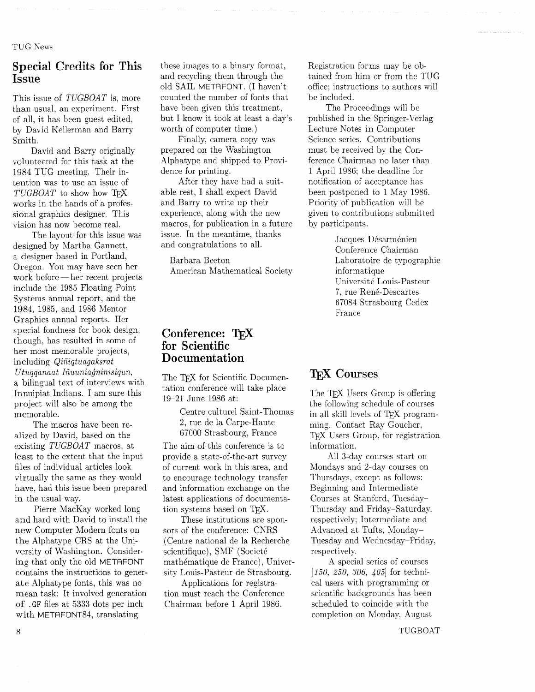TUG News

# Special Credits for This Issue

This issue of TUGBOAT is, more than usual, an experiment. First of all, it has been guest edited, by David Kellerman and Barry Smith.

David and Barry originally volunteered for this task at the 1984 TUG meeting. Their intention was to use an issue of  $TUGBOAT$  to show how  $T_{\text{F}}X$ works in the hands of a professional graphics designer. This vision has now become real.

The layout for this issue was designed by Martha Gannett, a designer based in Portland, a designer based in Fortand,<br>Oregon. You may have seen her<br>work before—her recent projects include the 1985 Floating Point Systems annual report, and the 1984, 1985, and 1986 Mentor Graphics annual reports. Her special fondness for book design, though, has resulted in some of her most memorable projects, including *Qiniqtuagaksrat*  $Utuqaanaat$  Iñuunia $\ddot{q}nniisiqun$ ,

a bilingual text of interviews with Innuipiat Indians. I am sure this project will also be among the memorable.

The macros have been realized by David, based on the existing TUGBOAT macros, at least to the extent that the input files of individual articles look virtually the same as they would have, had this issue been prepared in the usual way.

Pierre MacKay worked long and hard with David to install the new Computer Modern fonts on the Alphatype CRS at the University of Washington. Considering that only the old METAFONT contains the instructions to generate Alphatype fonts, this was no mean task: It involved generation of . GF files at 5333 dots per inch with METRFONT84, translating

these images to a binary format, and recycling them through the old SAIL METRFONT. (I haven't counted the number of fonts that have been given this treatment, but I know it took at least a day's worth of computer time.)

Finally, camera copy was prepared on the Washington Alphatype and shipped to Providence for printing.

After they have had a suitable rest, I shall expect David and Barry to write up their experience, along with the new macros, for publication in a future issue. In the meantime, thanks and congratulations to all.

Barbara Beeton American Mathematical Society

#### Conference: TFX for Scientific **Documentation**

The TFX for Scientific Documentation conference will take place 19-21 June 1986 at:

> Centre culture1 Saint-Thomas 2, rue de la Carpe-Haute 67000 Strasbourg, France

The aim of this conference is to provide a state-of-the-art survey of current work in this area, and to encourage technology transfer and information exchange on the latest applications of documentation systems based on TFX.

These institutions are sponsors of the conference: CNRS (Centre national de la Recherche scientifique), SMF (Societé mathématique de France), University Louis-Pasteur de Strasbourg.

Applications for registration must reach the Conference Chairman before 1 April 1986.

Registration forms may be obtained from him or from the TUG office; instructions to authors will be included.

The Proceedings will be published in the Springer-Verlag Lecture Notes in Computer Science series. Contributions must be received by the Conference Chairman no later than 1 April 1986: the deadline for notification of acceptance has been postponed to 1 May 1986. Priority of publication will be given to contributions submitted by participants.

> Jacques Désarménien Conference Chairman Laboratoire de typographie informatique Université Louis-Pasteur 7, rue René-Descartes 67084 Strasbourg Cedex France

# T<sub>F</sub>X Courses

The T<sub>F</sub>X Users Group is offering the following schedule of courses in all skill levels of TFX programming. Contact Ray Goucher, **TFX** Users Group, for registration information.

All 3-day courses start on Mondays and 2-day courses on Thursdays, except as follows: Beginning and Intermediate Courses at Stanford, Tuesday-Thursday and Friday-Saturday, respectively; Intermediate and Advanced at Tufts, Monday-Tuesday and Wednesday-Friday, respectively.

A special series of courses [150, 250, 306, 405] for technical users with programming or scientific backgrounds has been scheduled to coincide with the completion on Monday, August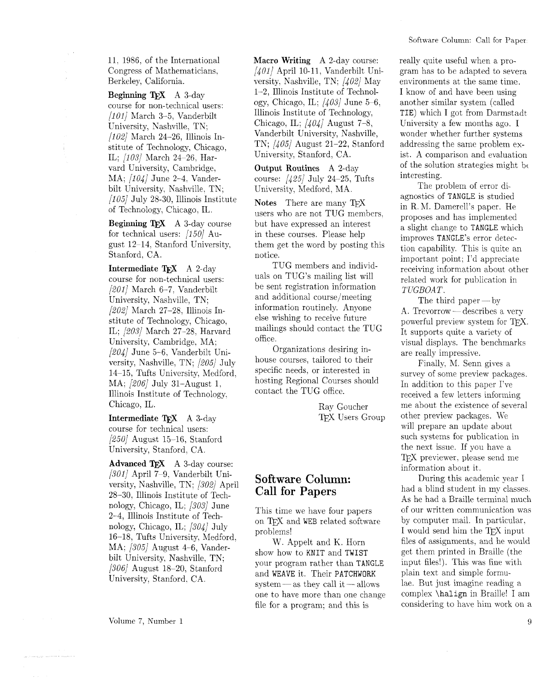11, 1986, of the International Congress of Mathematicians, Berkeley, California.

**Beginning TFX** A 3-day course for non-technical users:  $[101]$  March 3-5, Vanderbilt University, Nashville, TN;  $[102]$  March 24-26, Illinois Institute of Technology, Chicago. IL; (103) March 24-26, Harvard University, Cambridge, MA; [104] June 2-4, Vanderhilt University, Nashville. TN;  $[105]$  July 28-30, Illinois Institute of Technology, Chicago, IL.

**Beginning T<sub>EX</sub>** A 3-day course for technical users: [150] August 12-14. Stanford University, Stanford, CA.

**Intermediate TEX** A 2-day course for non-technical users: 12011 March 6-7, Vanderbilt University, Nashville, TN; [202/ March 27-28, Illinois Institute of Technology, Chicago, IL; [203] March 27-28, Harvard University, Cambridge, MA;  $[204]$  June 5-6, Vanderbilt University, Nashville, TN; [205] July 14-15, Tufts University, Medford, MA; [206] July 31-August 1. Illinois Institute of Technology, Chicago, IL.

**Intermediate TEX** A 3-day course for technical users:  $\left[250\right]$  August 15-16, Stanford University, Stanford, CA.

**Advanced TFX** A 3-day course:  $[301]$  April 7-9, Vanderbilt University, Nashville, TN: [302] April 28-30, Illinois Institute of Technology, Chicago, IL; [303] June 2-4, Illinois Institute of Technology, Chicago, IL;  $\frac{304}{$  July 16-18. Tufts University, Medford. MA: [305] August 4-6, Vanderbilt University, Nashville, TN;  $[306]$  August 18-20, Stanford University. Stanford, CA.

**Macro Writing** A 2-day course:  $[401]$  April 10-11, Vanderbilt University, Nashville, TN;  $\frac{1}{402}$  May 1-2, Illinois Institute of Technology, Chicago, IL;  $\frac{1}{403}$  June 5-6. Illinois Institute of Technology, Chicago, IL;  $\frac{1}{404}$  August 7-8, Vanderbilt University, Nashville, TK; [405] August 21-22, Stanford University, Stanford, CA.

**Output Routines** A 2-day course:  $\frac{1}{25}$  July 24-25, Tufts University, Medford, MA.

**Notes** There are many users who are not TUG members. but have expressed an interest in these courses. Please help them get the word by posting this notice.

TUG members and individuals on TUG'S mailing list will be sent registration information and additional course/meeting information routinely. Anyone else wishing to receive future mailings should contact the TUG office.

Organizations desiring inhouse courses, tailored to their specific needs, or interested in hosting Regional Courses should contact the TUG office.

> Ray Goucher TEX Users Group

# **Software Column: Call for Papers**

This time we have four papers on TFX and WEB related software problems!

W. Appelt and K. Horn show how to KNIT and TWIST your program rather than TANGLE and WEAVE it. Their PATCHWORK system—as they call it $-$ allows one to have more than one change file for a program; and this is

really quite useful when a program has to be adapted to severa environments at the same time. I know of and have been using another similar system (called TIE) which I got from Darmstadt University a few months ago. I wonder whether further systems addressing the same problem exist. A comparison and evaluation of the solution strategies might be interesting.

The problem of error diagnostics of TANGLE is studied in R. M. Damerell's paper. He proposes and has implemented a slight change to TANGLE which improves TANGLE'S error detection capability. This is quite an important point; I'd appreciate receiving information about other related work for publication in TUGBOAT.

The third paper  $-$  by A. Trevorrow — describes a very powerful preview system for TFX. It supports quite a variety of visual displays. The benchmarks are really impressive.

Finally, M. Senn gives a survey of some preview packages. In addition to this paper I've received a few letters informing me about the existence of several other preview packages. We will prepare an update about such systems for publication in the next issue. If you have a TEX previewer, please send me information about it.

During this academic year I had a blind student in my classes. As he had a Braille terminal much of our written communication was by computer mail. In particular, I would send him the TFX input files of assignments, and he would get them printed in Braille (the input files!). This was fine with plain text and simple formulae. But just imagine reading a complex \halign in Braille! I am considering to have him work on a